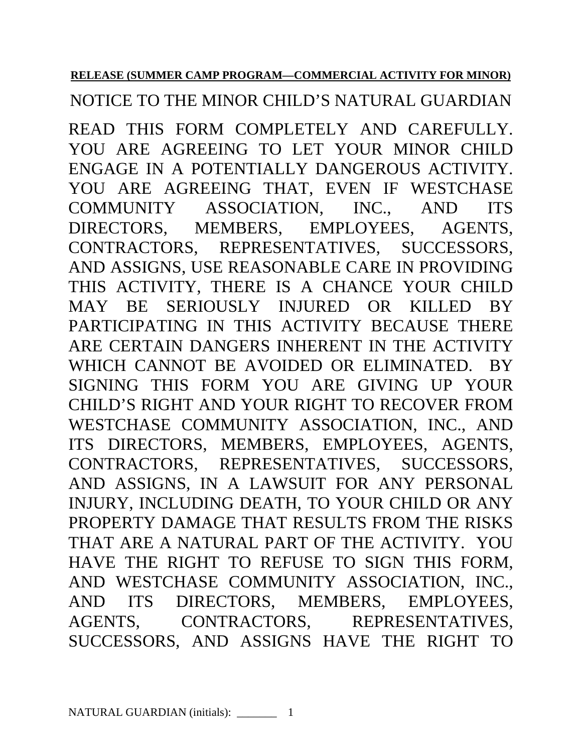## **RELEASE (SUMMER CAMP PROGRAM—COMMERCIAL ACTIVITY FOR MINOR)**

NOTICE TO THE MINOR CHILD'S NATURAL GUARDIAN

READ THIS FORM COMPLETELY AND CAREFULLY. YOU ARE AGREEING TO LET YOUR MINOR CHILD ENGAGE IN A POTENTIALLY DANGEROUS ACTIVITY. YOU ARE AGREEING THAT, EVEN IF WESTCHASE COMMUNITY ASSOCIATION, INC., AND ITS DIRECTORS, MEMBERS, EMPLOYEES, AGENTS, CONTRACTORS, REPRESENTATIVES, SUCCESSORS, AND ASSIGNS, USE REASONABLE CARE IN PROVIDING THIS ACTIVITY, THERE IS A CHANCE YOUR CHILD MAY BE SERIOUSLY INJURED OR KILLED BY PARTICIPATING IN THIS ACTIVITY BECAUSE THERE ARE CERTAIN DANGERS INHERENT IN THE ACTIVITY WHICH CANNOT BE AVOIDED OR ELIMINATED. BY SIGNING THIS FORM YOU ARE GIVING UP YOUR CHILD'S RIGHT AND YOUR RIGHT TO RECOVER FROM WESTCHASE COMMUNITY ASSOCIATION, INC., AND ITS DIRECTORS, MEMBERS, EMPLOYEES, AGENTS, CONTRACTORS, REPRESENTATIVES, SUCCESSORS, AND ASSIGNS, IN A LAWSUIT FOR ANY PERSONAL INJURY, INCLUDING DEATH, TO YOUR CHILD OR ANY PROPERTY DAMAGE THAT RESULTS FROM THE RISKS THAT ARE A NATURAL PART OF THE ACTIVITY. YOU HAVE THE RIGHT TO REFUSE TO SIGN THIS FORM, AND WESTCHASE COMMUNITY ASSOCIATION, INC., AND ITS DIRECTORS, MEMBERS, EMPLOYEES, AGENTS, CONTRACTORS, REPRESENTATIVES, SUCCESSORS, AND ASSIGNS HAVE THE RIGHT TO